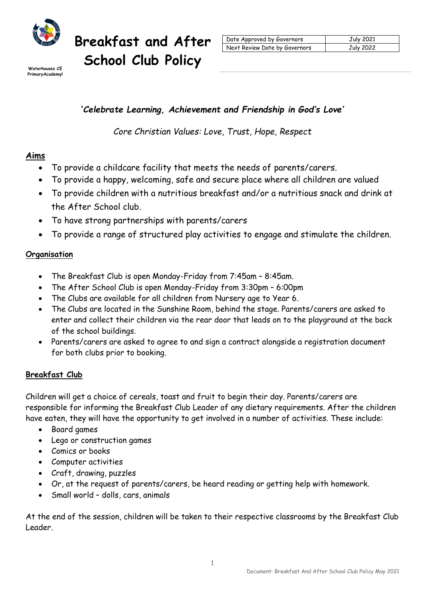

**Breakfast and After**  Waterhouses CE **School Club Policy** 

| Date Approved by Governors    | July 2021 |
|-------------------------------|-----------|
| Next Review Date by Governors | July 2022 |

Primary Academy

# **'***Celebrate Learning, Achievement and Friendship in God's Love'*

*Core Christian Values: Love, Trust, Hope, Respect*

# **Aims**

- To provide a childcare facility that meets the needs of parents/carers.
- To provide a happy, welcoming, safe and secure place where all children are valued
- To provide children with a nutritious breakfast and/or a nutritious snack and drink at the After School club.
- To have strong partnerships with parents/carers
- To provide a range of structured play activities to engage and stimulate the children.

## **Organisation**

- The Breakfast Club is open Monday-Friday from 7:45am 8:45am.
- The After School Club is open Monday-Friday from 3:30pm 6:00pm
- The Clubs are available for all children from Nursery age to Year 6.
- The Clubs are located in the Sunshine Room, behind the stage. Parents/carers are asked to enter and collect their children via the rear door that leads on to the playground at the back of the school buildings.
- Parents/carers are asked to agree to and sign a contract alongside a registration document for both clubs prior to booking.

# **Breakfast Club**

Children will get a choice of cereals, toast and fruit to begin their day. Parents/carers are responsible for informing the Breakfast Club Leader of any dietary requirements. After the children have eaten, they will have the opportunity to get involved in a number of activities. These include:

- Board games
- Lego or construction games
- Comics or books
- Computer activities
- Craft, drawing, puzzles
- Or, at the request of parents/carers, be heard reading or getting help with homework.
- Small world dolls, cars, animals

At the end of the session, children will be taken to their respective classrooms by the Breakfast Club Leader.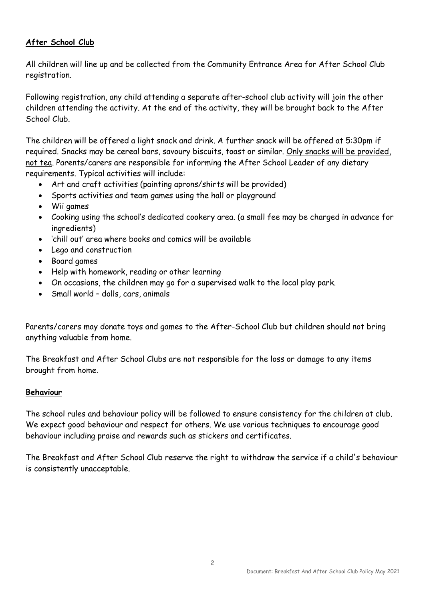## **After School Club**

All children will line up and be collected from the Community Entrance Area for After School Club registration.

Following registration, any child attending a separate after-school club activity will join the other children attending the activity. At the end of the activity, they will be brought back to the After School Club.

The children will be offered a light snack and drink. A further snack will be offered at 5:30pm if required. Snacks may be cereal bars, savoury biscuits, toast or similar. Only snacks will be provided, not tea. Parents/carers are responsible for informing the After School Leader of any dietary requirements. Typical activities will include:

- Art and craft activities (painting aprons/shirts will be provided)
- Sports activities and team games using the hall or playground
- Wii games
- Cooking using the school's dedicated cookery area. (a small fee may be charged in advance for ingredients)
- 'chill out' area where books and comics will be available
- Lego and construction
- Board games
- Help with homework, reading or other learning
- On occasions, the children may go for a supervised walk to the local play park.
- Small world dolls, cars, animals

Parents/carers may donate toys and games to the After-School Club but children should not bring anything valuable from home.

The Breakfast and After School Clubs are not responsible for the loss or damage to any items brought from home.

## **Behaviour**

The school rules and behaviour policy will be followed to ensure consistency for the children at club. We expect good behaviour and respect for others. We use various techniques to encourage good behaviour including praise and rewards such as stickers and certificates.

The Breakfast and After School Club reserve the right to withdraw the service if a child's behaviour is consistently unacceptable.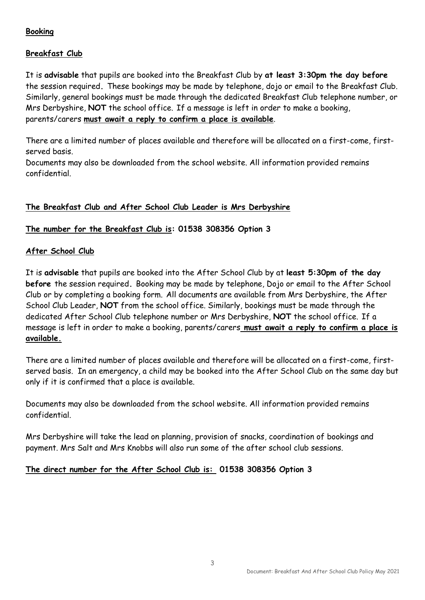## **Booking**

## **Breakfast Club**

It is **advisable** that pupils are booked into the Breakfast Club by **at least 3:30pm the day before**  the session required**.** These bookings may be made by telephone, dojo or email to the Breakfast Club. Similarly, general bookings must be made through the dedicated Breakfast Club telephone number, or Mrs Derbyshire, **NOT** the school office. If a message is left in order to make a booking, parents/carers **must await a reply to confirm a place is available**.

There are a limited number of places available and therefore will be allocated on a first-come, firstserved basis.

Documents may also be downloaded from the school website. All information provided remains confidential.

#### **The Breakfast Club and After School Club Leader is Mrs Derbyshire**

#### **The number for the Breakfast Club is: 01538 308356 Option 3**

#### **After School Club**

It is **advisable** that pupils are booked into the After School Club by at **least 5:30pm of the day before** the session required**.** Booking may be made by telephone, Dojo or email to the After School Club or by completing a booking form. All documents are available from Mrs Derbyshire, the After School Club Leader, **NOT** from the school office. Similarly, bookings must be made through the dedicated After School Club telephone number or Mrs Derbyshire, **NOT** the school office. If a message is left in order to make a booking, parents/carers **must await a reply to confirm a place is available.**

There are a limited number of places available and therefore will be allocated on a first-come, firstserved basis. In an emergency, a child may be booked into the After School Club on the same day but only if it is confirmed that a place is available.

Documents may also be downloaded from the school website. All information provided remains confidential.

Mrs Derbyshire will take the lead on planning, provision of snacks, coordination of bookings and payment. Mrs Salt and Mrs Knobbs will also run some of the after school club sessions.

## **The direct number for the After School Club is: 01538 308356 Option 3**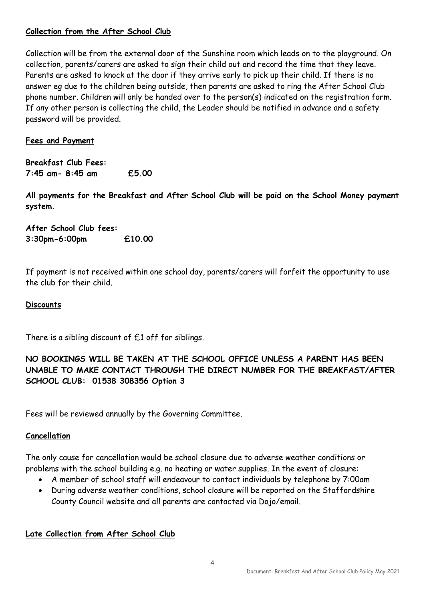## **Collection from the After School Club**

Collection will be from the external door of the Sunshine room which leads on to the playground. On collection, parents/carers are asked to sign their child out and record the time that they leave. Parents are asked to knock at the door if they arrive early to pick up their child. If there is no answer eg due to the children being outside, then parents are asked to ring the After School Club phone number. Children will only be handed over to the person(s) indicated on the registration form. If any other person is collecting the child, the Leader should be notified in advance and a safety password will be provided.

## **Fees and Payment**

**Breakfast Club Fees: 7:45 am- 8:45 am £5.00**

**All payments for the Breakfast and After School Club will be paid on the School Money payment system.**

**After School Club fees: 3:30pm-6:00pm £10.00**

If payment is not received within one school day, parents/carers will forfeit the opportunity to use the club for their child.

#### **Discounts**

There is a sibling discount of  $£1$  off for siblings.

## **NO BOOKINGS WILL BE TAKEN AT THE SCHOOL OFFICE UNLESS A PARENT HAS BEEN UNABLE TO MAKE CONTACT THROUGH THE DIRECT NUMBER FOR THE BREAKFAST/AFTER SCHOOL CLUB: 01538 308356 Option 3**

Fees will be reviewed annually by the Governing Committee.

#### **Cancellation**

The only cause for cancellation would be school closure due to adverse weather conditions or problems with the school building e.g. no heating or water supplies. In the event of closure:

- A member of school staff will endeavour to contact individuals by telephone by 7:00am
- During adverse weather conditions, school closure will be reported on the Staffordshire County Council website and all parents are contacted via Dojo/email.

#### **Late Collection from After School Club**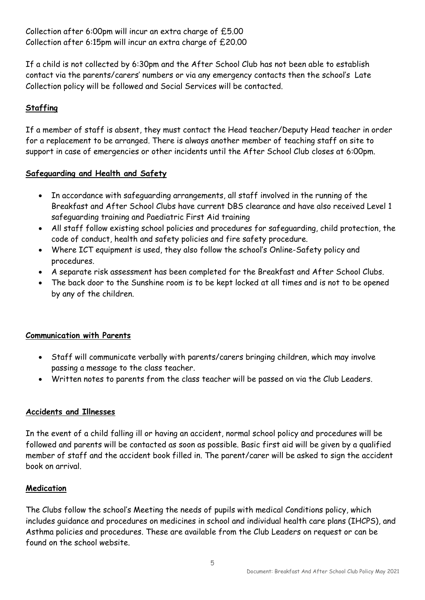Collection after 6:00pm will incur an extra charge of £5.00 Collection after 6:15pm will incur an extra charge of £20.00

If a child is not collected by 6:30pm and the After School Club has not been able to establish contact via the parents/carers' numbers or via any emergency contacts then the school's Late Collection policy will be followed and Social Services will be contacted.

## **Staffing**

If a member of staff is absent, they must contact the Head teacher/Deputy Head teacher in order for a replacement to be arranged. There is always another member of teaching staff on site to support in case of emergencies or other incidents until the After School Club closes at 6:00pm.

## **Safeguarding and Health and Safety**

- In accordance with safeguarding arrangements, all staff involved in the running of the Breakfast and After School Clubs have current DBS clearance and have also received Level 1 safeguarding training and Paediatric First Aid training
- All staff follow existing school policies and procedures for safeguarding, child protection, the code of conduct, health and safety policies and fire safety procedure.
- Where ICT equipment is used, they also follow the school's Online-Safety policy and procedures.
- A separate risk assessment has been completed for the Breakfast and After School Clubs.
- The back door to the Sunshine room is to be kept locked at all times and is not to be opened by any of the children.

## **Communication with Parents**

- Staff will communicate verbally with parents/carers bringing children, which may involve passing a message to the class teacher.
- Written notes to parents from the class teacher will be passed on via the Club Leaders.

## **Accidents and Illnesses**

In the event of a child falling ill or having an accident, normal school policy and procedures will be followed and parents will be contacted as soon as possible. Basic first aid will be given by a qualified member of staff and the accident book filled in. The parent/carer will be asked to sign the accident book on arrival.

#### **Medication**

The Clubs follow the school's Meeting the needs of pupils with medical Conditions policy, which includes guidance and procedures on medicines in school and individual health care plans (IHCPS), and Asthma policies and procedures. These are available from the Club Leaders on request or can be found on the school website.